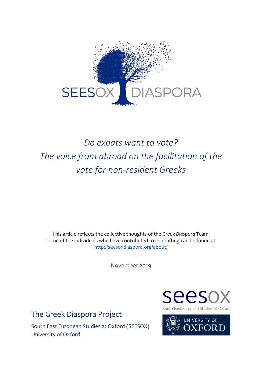

# *Do expats want to vote? The voice from abroad on the facilitation of the vote for non-resident Greeks*

This article reflects the collective thoughts of the *Greek Diaspora* Team; some of the individuals who have contributed to its drafting can be found at <http://seesoxdiaspora.org/about/>

November 2019

The Greek Diaspora Project

South East European Studies at Oxford (SEESOX) University of Oxford



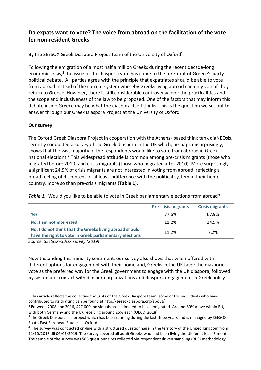## <span id="page-1-1"></span>**Do expats want to vote? The voice from abroad on the facilitation of the vote for non-resident Greeks**

By the SEESOX Greek Diaspora Project Team of the University of Oxford<sup>1</sup>

Following the emigration of almost half a million Greeks during the recent decade-long economic crisis,<sup>2</sup> the issue of the diasporic vote has come to the forefront of Greece's partypolitical debate. All parties agree with the principle that expatriates should be able to vote from abroad instead of the current system whereby Greeks living abroad can only vote if they return to Greece. However, there is still considerable controversy over the practicalities and the scope and inclusiveness of the law to be proposed. One of the factors that may inform this debate inside Greece may be what the diaspora itself thinks. This is the question we set out to answer through our Greek Diaspora Project at the University of Oxford.<sup>3</sup>

### **Our survey**

The Oxford Greek Diaspora Project in cooperation with the Athens- based think tank diaNEOsis, recently conducted a survey of the Greek diaspora in the UK which, perhaps unsurprisingly, shows that the vast majority of the respondents would like to vote from abroad in Greek national elections.<sup>4</sup> This widespread attitude is common among pre-crisis migrants (those who migrated before 2010) and crisis migrants (those who migrated after 2010). More surprisingly, a significant 24.9% of crisis migrants are not interested in voting from abroad, reflecting a broad feeling of discontent or at least indifference with the political system in their homecountry, more so than pre-crisis migrants (**[Table 1](#page-1-0)**).

<span id="page-1-0"></span>*Table 1.* Would you like to be able to vote in Greek parliamentary elections from abroad?

|                                                         | <b>Pre-crisis migrants</b> | <b>Crisis migrants</b> |  |
|---------------------------------------------------------|----------------------------|------------------------|--|
| <b>Yes</b>                                              | 77.6%                      | 67.9%                  |  |
| No, I am not interested                                 | 11.2%                      | 24.9%                  |  |
| No, I do not think that the Greeks living abroad should | 11.2%                      | 7.2%                   |  |
| have the right to vote in Greek parliamentary elections |                            |                        |  |

*Source: SEESOX-GDUK survey (2019)*

Nowithstanding this minority sentiment, our survey also shows that when offered with different options for engagement with their homeland, Greeks in the UK favor the diasporic vote as the preferred way for the Greek government to engage with the UK diaspora, followed by systematic contact with diaspora organizations and diaspora engagement in Greek policy-

j  $1$  This article reflects the collective thoughts of the Greek Diaspora team; some of the individuals who have contributed to its drafting can be found at http://seesoxdiaspora.org/about/

<sup>&</sup>lt;sup>2</sup> Between 2008 and 2016, 427,000 individuals are estimated to have emigrated. Around 80% move within EU, with both Germany and the UK receiving around 25% each (OECD, 2018)

<sup>&</sup>lt;sup>3</sup> The Greek Diaspora is a project which has been running during the last three years and is managed by SEESOX South East European Studies at Oxford.

<sup>4</sup> The survey was conducted on-line with a structured questionnaire in the territory of the United Kingdom from 11/10/2018 till 06/05/2019. The survey covered all adult Greeks who had been living the UK for at least 3 months. The sample of the survey was 586 questionnaires collected via respondent driven sampling (RDS) methodology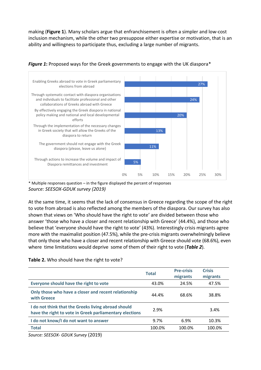making (**[Figure 1](#page-1-1)**). Many scholars argue that enfranchisement is often a simpler and low-cost inclusion mechanism, while the other two presuppose either expertise or motivation, that is an ability and willingness to participate thus, excluding a large number of migrants.



### *Figure 1***:** Proposed ways for the Greek governments to engage with the UK diaspora\*

\* Multiple responses question – in the figure displayed the percent of responses *Source: SEESOX-GDUK survey (2019)*

At the same time, it seems that the lack of consensus in Greece regarding the scope of the right to vote from abroad is also reflected among the members of the diaspora. Our survey has also shown that views on 'Who should have the right to vote' are divided between those who answer 'those who have a closer and recent relationship with Greece' (44.4%), and those who believe that 'everyone should have the right to vote' (43%). Interestingly crisis migrants agree more with the maximalist position (47.5%), while the pre-crisis migrants overwhelmingly believe that only those who have a closer and recent relationship with Greece should vote (68.6%), even where time limitations would deprive some of them of their right to vote (*Table 2*).

### **Table 2.** Who should have the right to vote?

|                                                                                                                | <b>Total</b> | <b>Pre-crisis</b><br>migrants | <b>Crisis</b><br>migrants |
|----------------------------------------------------------------------------------------------------------------|--------------|-------------------------------|---------------------------|
| Everyone should have the right to vote                                                                         | 43.0%        | 24.5%                         | 47.5%                     |
| Only those who have a closer and recent relationship<br>with Greece                                            | 44.4%        | 68.6%                         | 38.8%                     |
| I do not think that the Greeks living abroad should<br>have the right to vote in Greek parliamentary elections | 2.9%         |                               | 3.4%                      |
| I do not know/I do not want to answer                                                                          | 9.7%         | 6.9%                          | 10.3%                     |
| <b>Total</b>                                                                                                   | 100.0%       | 100.0%                        | 100.0%                    |

*Source: SEESOX- GDUK Survey* (2019)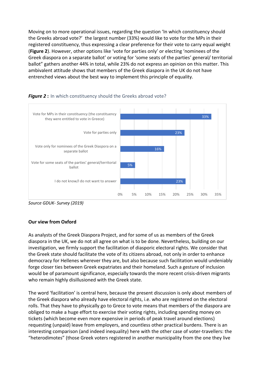Moving on to more operational issues, regarding the question 'In which constituency should the Greeks abroad vote?' the largest number (33%) would like to vote for the MPs in their registered constituency, thus expressing a clear preference for their vote to carry equal weight (**[Figure 2](#page-3-0)**). However, other options like 'vote for parties only' or electing 'nominees of the Greek diaspora on a separate ballot' or voting for 'some seats of the parties' general/ territorial ballot" gathers another 44% in total, while 23% do not express an opinion on this matter. This ambivalent attitude shows that members of the Greek diaspora in the UK do not have entrenched views about the best way to implement this principle of equality.



### <span id="page-3-0"></span>**Figure 2:** In which constituency should the Greeks abroad vote?

*Source GDUK- Survey (2019)*

### **Our view from Oxford**

As analysts of the Greek Diaspora Project, and for some of us as members of the Greek diaspora in the UK, we do not all agree on what is to be done. Nevertheless, building on our investigation, we firmly support the facilitation of diasporic electoral rights. We consider that the Greek state should facilitate the vote of its citizens abroad, not only in order to enhance democracy for Hellenes wherever they are, but also because such facilitation would undeniably forge closer ties between Greek expatriates and their homeland. Such a gesture of inclusion would be of paramount significance, especially towards the more recent crisis-driven migrants who remain highly disillusioned with the Greek state.

The word 'facilitation' is central here, because the present discussion is only about members of the Greek diaspora who already have electoral rights, i.e. who are registered on the electoral rolls. That they have to physically go to Grece to vote means that members of the diaspora are obliged to make a huge effort to exercise their voting rights, including spending money on tickets (which become even more expensive in periods of peak travel around elections) requesting (unpaid) leave from employers, and countless other practical burdens. There is an interesting comparison (and indeed inequality) here with the other case of voter-travellers: the "heterodimotes" (those Greek voters registered in another municipality from the one they live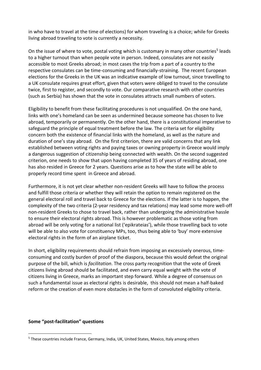in who have to travel at the time of elections) for whom traveling is a choice; while for Greeks living abroad traveling to vote is currently a necessity.

On the issue of where to vote, postal voting which is customary in many other countries<sup>5</sup> leads to a higher turnout than when people vote in person. Indeed, consulates are not easily accessible to most Greeks abroad; in most cases the trip from a part of a country to the respective consulates can be time-consuming and financially-straining. The recent European elections for the Greeks in the UK was an indicative example of low turnout, since travelling to a UK consulate requires great effort, given that voters were obliged to travel to the consulate twice, first to register, and secondly to vote. Our comparative research with other countries (such as Serbia) has shown that the vote in consulates attracts small numbers of voters.

Eligibility to benefit from these facilitating procedures is not unqualified. On the one hand, links with one's homeland can be seen as undermined because someone has chosen to live abroad, temporarily or permanently. On the other hand, there is a constitutional imperative to safeguard the principle of equal treatment before the law. The criteria set for eligibility concern both the existence of financial links with the homeland, as well as the nature and duration of one's stay abroad. On the first criterion, there are valid concerns that any link established between voting rights and paying taxes or owning property in Greece would imply a dangerous suggestion of citizenship being connected with wealth. On the second suggested criterion, one needs to show that upon having completed 35 of years of residing abroad, one has also resided in Greece for 2 years. Questions arise as to how the state will be able to properly record time spent in Greece and abroad.

Furthermore, it is not yet clear whether non-resident Greeks will have to follow the process and fulfill those criteria or whether they will retain the option to remain registered on the general electoral roll and travel back to Greece for the elections. If the latter is to happen, the complexity of the two criteria (2-year residency and tax relations) may lead some more well-off non-resident Greeks to chose to travel back, rather than undergoing the administrative hassle to ensure their electoral rights abroad. This is however problematic as those voting from abroad will be only voting for a national list ('epikrateias'), while those travelling back to vote will be able to also vote for constituency MPs, too, thus being able to 'buy' more extensive electoral rights in the form of an airplane ticket.

In short, eligibility requirements should refrain from imposing an excessively onerous, timeconsuming and costly burden of proof of the diaspora, because this would defeat the original purpose of the bill, which is *facilitation*. The cross party recognition that the vote of Greek citizens living abroad should be facilitated, and even carry equal weight with the vote of citizens living in Greece, marks an important step forward. While a degree of consensus on such a fundamental issue as electoral rights is desirable, this should not mean a half-baked reform or the creation of even more obstacles in the form of convoluted eligibility criteria.

#### **Some "post-facilitation" questions**

 $\overline{a}$ 

<sup>5</sup> These countries include France, Germany, India, UK, United States, Mexico, Italy among others